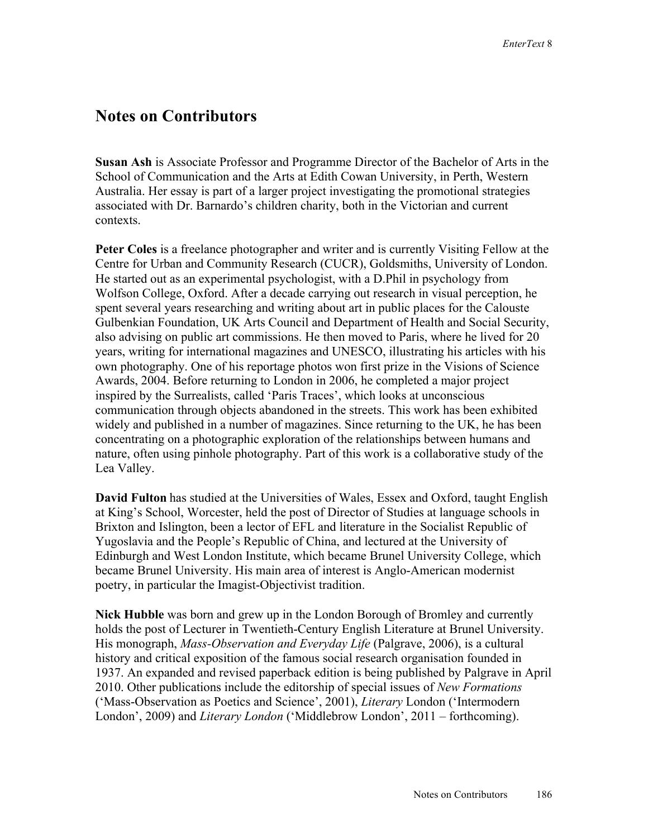## **Notes on Contributors**

**Susan Ash** is Associate Professor and Programme Director of the Bachelor of Arts in the School of Communication and the Arts at Edith Cowan University, in Perth, Western Australia. Her essay is part of a larger project investigating the promotional strategies associated with Dr. Barnardo's children charity, both in the Victorian and current contexts.

**Peter Coles** is a freelance photographer and writer and is currently Visiting Fellow at the Centre for Urban and Community Research (CUCR), Goldsmiths, University of London. He started out as an experimental psychologist, with a D.Phil in psychology from Wolfson College, Oxford. After a decade carrying out research in visual perception, he spent several years researching and writing about art in public places for the Calouste Gulbenkian Foundation, UK Arts Council and Department of Health and Social Security, also advising on public art commissions. He then moved to Paris, where he lived for 20 years, writing for international magazines and UNESCO, illustrating his articles with his own photography. One of his reportage photos won first prize in the Visions of Science Awards, 2004. Before returning to London in 2006, he completed a major project inspired by the Surrealists, called 'Paris Traces', which looks at unconscious communication through objects abandoned in the streets. This work has been exhibited widely and published in a number of magazines. Since returning to the UK, he has been concentrating on a photographic exploration of the relationships between humans and nature, often using pinhole photography. Part of this work is a collaborative study of the Lea Valley.

**David Fulton** has studied at the Universities of Wales, Essex and Oxford, taught English at King's School, Worcester, held the post of Director of Studies at language schools in Brixton and Islington, been a lector of EFL and literature in the Socialist Republic of Yugoslavia and the People's Republic of China, and lectured at the University of Edinburgh and West London Institute, which became Brunel University College, which became Brunel University. His main area of interest is Anglo-American modernist poetry, in particular the Imagist-Objectivist tradition.

**Nick Hubble** was born and grew up in the London Borough of Bromley and currently holds the post of Lecturer in Twentieth-Century English Literature at Brunel University. His monograph, *Mass-Observation and Everyday Life* (Palgrave, 2006), is a cultural history and critical exposition of the famous social research organisation founded in 1937. An expanded and revised paperback edition is being published by Palgrave in April 2010. Other publications include the editorship of special issues of *New Formations*  ('Mass-Observation as Poetics and Science', 2001), *Literary* London ('Intermodern London', 2009) and *Literary London* ('Middlebrow London', 2011 – forthcoming).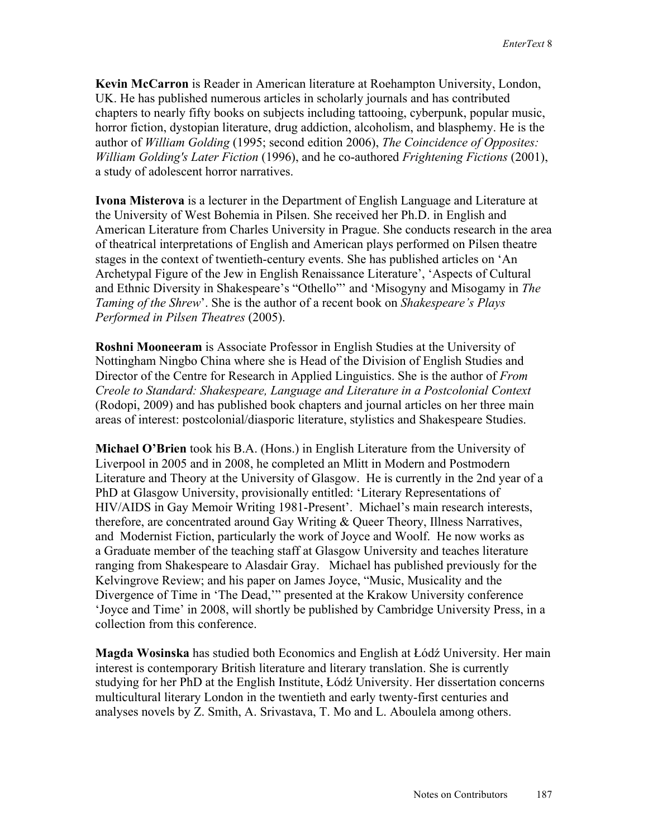**Kevin McCarron** is Reader in American literature at Roehampton University, London, UK. He has published numerous articles in scholarly journals and has contributed chapters to nearly fifty books on subjects including tattooing, cyberpunk, popular music, horror fiction, dystopian literature, drug addiction, alcoholism, and blasphemy. He is the author of *William Golding* (1995; second edition 2006), *The Coincidence of Opposites: William Golding's Later Fiction* (1996), and he co-authored *Frightening Fictions* (2001), a study of adolescent horror narratives.

**Ivona Misterova** is a lecturer in the Department of English Language and Literature at the University of West Bohemia in Pilsen. She received her Ph.D. in English and American Literature from Charles University in Prague. She conducts research in the area of theatrical interpretations of English and American plays performed on Pilsen theatre stages in the context of twentieth-century events. She has published articles on 'An Archetypal Figure of the Jew in English Renaissance Literature', 'Aspects of Cultural and Ethnic Diversity in Shakespeare's "Othello"' and 'Misogyny and Misogamy in *The Taming of the Shrew*'. She is the author of a recent book on *Shakespeare's Plays Performed in Pilsen Theatres* (2005).

**Roshni Mooneeram** is Associate Professor in English Studies at the University of Nottingham Ningbo China where she is Head of the Division of English Studies and Director of the Centre for Research in Applied Linguistics. She is the author of *From Creole to Standard: Shakespeare, Language and Literature in a Postcolonial Context*  (Rodopi, 2009) and has published book chapters and journal articles on her three main areas of interest: postcolonial/diasporic literature, stylistics and Shakespeare Studies.

**Michael O'Brien** took his B.A. (Hons.) in English Literature from the University of Liverpool in 2005 and in 2008, he completed an Mlitt in Modern and Postmodern Literature and Theory at the University of Glasgow. He is currently in the 2nd year of a PhD at Glasgow University, provisionally entitled: 'Literary Representations of HIV/AIDS in Gay Memoir Writing 1981-Present'. Michael's main research interests, therefore, are concentrated around Gay Writing & Queer Theory, Illness Narratives, and Modernist Fiction, particularly the work of Joyce and Woolf. He now works as a Graduate member of the teaching staff at Glasgow University and teaches literature ranging from Shakespeare to Alasdair Gray. Michael has published previously for the Kelvingrove Review; and his paper on James Joyce, "Music, Musicality and the Divergence of Time in 'The Dead,'" presented at the Krakow University conference 'Joyce and Time' in 2008, will shortly be published by Cambridge University Press, in a collection from this conference.

**Magda Wosinska** has studied both Economics and English at Łódź University. Her main interest is contemporary British literature and literary translation. She is currently studying for her PhD at the English Institute, Łódź University. Her dissertation concerns multicultural literary London in the twentieth and early twenty-first centuries and analyses novels by Z. Smith, A. Srivastava, T. Mo and L. Aboulela among others.